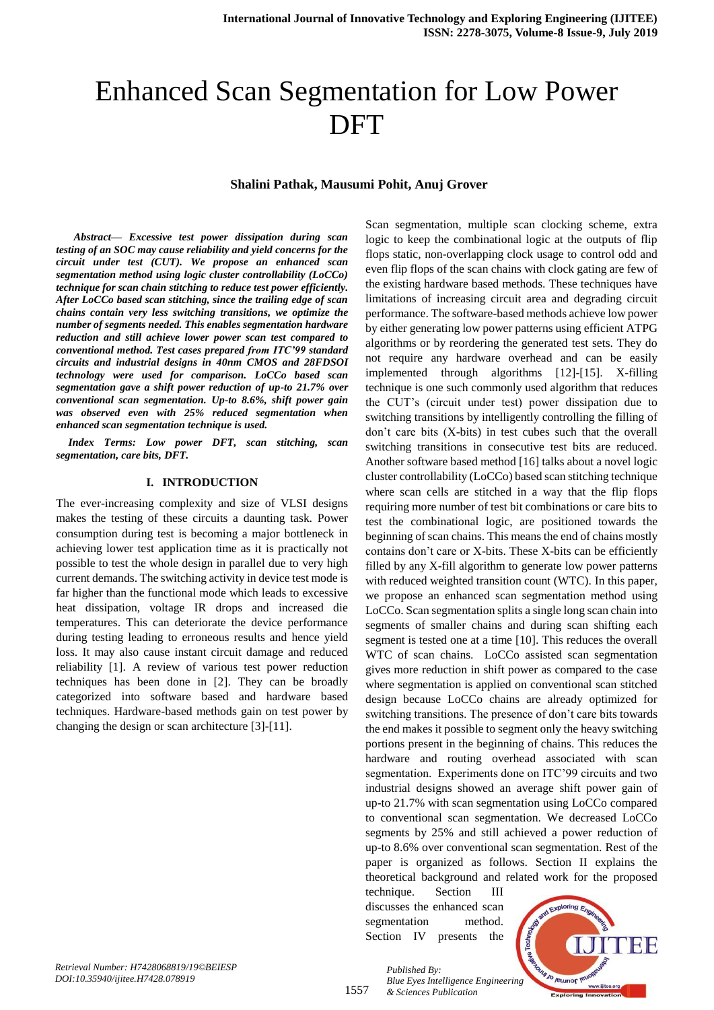# Enhanced Scan Segmentation for Low Power DFT

#### **Shalini Pathak, Mausumi Pohit, Anuj Grover**

 *Abstract— Excessive test power dissipation during scan testing of an SOC may cause reliability and yield concerns for the circuit under test (CUT). We propose an enhanced scan segmentation method using logic cluster controllability (LoCCo) technique for scan chain stitching to reduce test power efficiently. After LoCCo based scan stitching, since the trailing edge of scan chains contain very less switching transitions, we optimize the number of segments needed. This enables segmentation hardware reduction and still achieve lower power scan test compared to conventional method. Test cases prepared from ITC'99 standard circuits and industrial designs in 40nm CMOS and 28FDSOI technology were used for comparison. LoCCo based scan segmentation gave a shift power reduction of up-to 21.7% over conventional scan segmentation. Up-to 8.6%, shift power gain was observed even with 25% reduced segmentation when enhanced scan segmentation technique is used.*

*Index Terms: Low power DFT, scan stitching, scan segmentation, care bits, DFT.*

## **I. INTRODUCTION**

The ever-increasing complexity and size of VLSI designs makes the testing of these circuits a daunting task. Power consumption during test is becoming a major bottleneck in achieving lower test application time as it is practically not possible to test the whole design in parallel due to very high current demands. The switching activity in device test mode is far higher than the functional mode which leads to excessive heat dissipation, voltage IR drops and increased die temperatures. This can deteriorate the device performance during testing leading to erroneous results and hence yield loss. It may also cause instant circuit damage and reduced reliability [1]. A review of various test power reduction techniques has been done in [2]. They can be broadly categorized into software based and hardware based techniques. Hardware-based methods gain on test power by changing the design or scan architecture [3]-[11].

Scan segmentation, multiple scan clocking scheme, extra logic to keep the combinational logic at the outputs of flip flops static, non-overlapping clock usage to control odd and even flip flops of the scan chains with clock gating are few of the existing hardware based methods. These techniques have limitations of increasing circuit area and degrading circuit performance. The software-based methods achieve low power by either generating low power patterns using efficient ATPG algorithms or by reordering the generated test sets. They do not require any hardware overhead and can be easily implemented through algorithms [12]-[15]. X-filling technique is one such commonly used algorithm that reduces the CUT's (circuit under test) power dissipation due to switching transitions by intelligently controlling the filling of don't care bits (X-bits) in test cubes such that the overall switching transitions in consecutive test bits are reduced. Another software based method [16] talks about a novel logic cluster controllability (LoCCo) based scan stitching technique where scan cells are stitched in a way that the flip flops requiring more number of test bit combinations or care bits to test the combinational logic, are positioned towards the beginning of scan chains. This means the end of chains mostly contains don't care or X-bits. These X-bits can be efficiently filled by any X-fill algorithm to generate low power patterns with reduced weighted transition count (WTC). In this paper, we propose an enhanced scan segmentation method using LoCCo. Scan segmentation splits a single long scan chain into segments of smaller chains and during scan shifting each segment is tested one at a time [10]. This reduces the overall WTC of scan chains. LoCCo assisted scan segmentation gives more reduction in shift power as compared to the case where segmentation is applied on conventional scan stitched design because LoCCo chains are already optimized for switching transitions. The presence of don't care bits towards the end makes it possible to segment only the heavy switching portions present in the beginning of chains. This reduces the hardware and routing overhead associated with scan segmentation. Experiments done on ITC'99 circuits and two industrial designs showed an average shift power gain of up-to 21.7% with scan segmentation using LoCCo compared to conventional scan segmentation. We decreased LoCCo segments by 25% and still achieved a power reduction of up-to 8.6% over conventional scan segmentation. Rest of the paper is organized as follows. Section II explains the theoretical background and related work for the proposed

technique. Section III discusses the enhanced scan segmentation method. Section IV presents the



*Retrieval Number: H7428068819/19©BEIESP DOI:10.35940/ijitee.H7428.078919*

1557

*Published By: Blue Eyes Intelligence Engineering & Sciences Publication*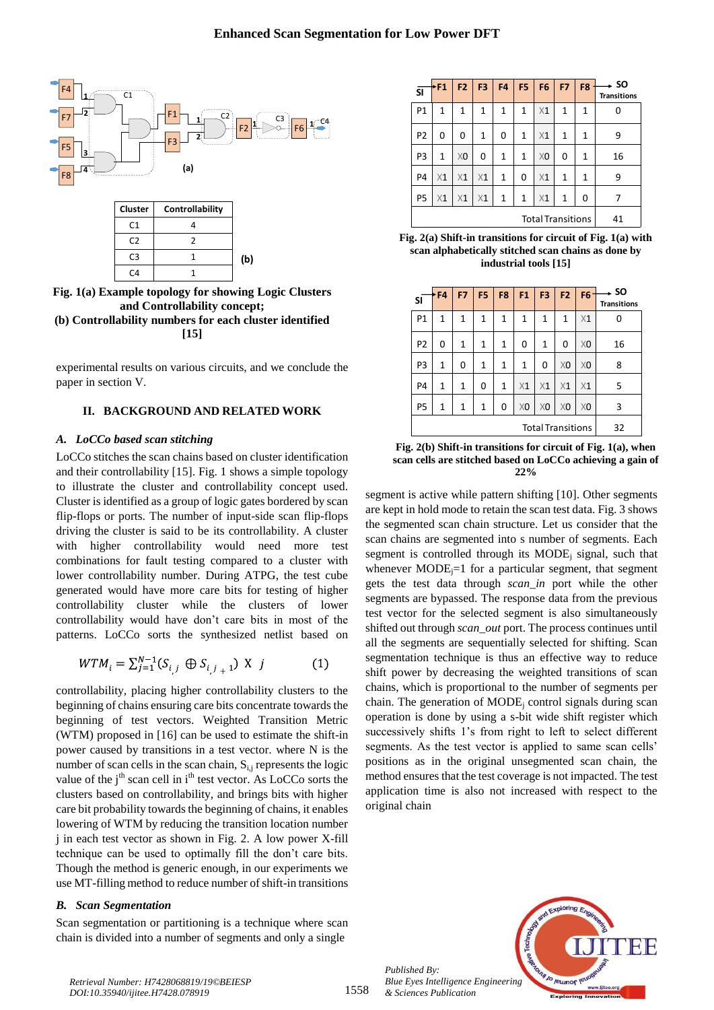

**Fig. 1(a) Example topology for showing Logic Clusters and Controllability concept; (b) Controllability numbers for each cluster identified [15]**

experimental results on various circuits, and we conclude the paper in section V.

## **II. BACKGROUND AND RELATED WORK**

## *A. LoCCo based scan stitching*

LoCCo stitches the scan chains based on cluster identification and their controllability [15]. Fig. 1 shows a simple topology to illustrate the cluster and controllability concept used. Cluster is identified as a group of logic gates bordered by scan flip-flops or ports. The number of input-side scan flip-flops driving the cluster is said to be its controllability. A cluster with higher controllability would need more test combinations for fault testing compared to a cluster with lower controllability number. During ATPG, the test cube generated would have more care bits for testing of higher controllability cluster while the clusters of lower controllability would have don't care bits in most of the patterns. LoCCo sorts the synthesized netlist based on

$$
WTM_i = \sum_{j=1}^{N-1} (S_{i,j} \oplus S_{i,j+1}) \times j \tag{1}
$$

controllability, placing higher controllability clusters to the beginning of chains ensuring care bits concentrate towards the beginning of test vectors. Weighted Transition Metric (WTM) proposed in [16] can be used to estimate the shift-in power caused by transitions in a test vector. where N is the number of scan cells in the scan chain,  $S_{i,j}$  represents the logic value of the  $j<sup>th</sup>$  scan cell in  $i<sup>th</sup>$  test vector. As LoCCo sorts the clusters based on controllability, and brings bits with higher care bit probability towards the beginning of chains, it enables lowering of WTM by reducing the transition location number j in each test vector as shown in Fig. 2. A low power X-fill technique can be used to optimally fill the don't care bits. Though the method is generic enough, in our experiments we use MT-filling method to reduce number of shift-in transitions

# *B. Scan Segmentation*

Scan segmentation or partitioning is a technique where scan chain is divided into a number of segments and only a single

| <b>SI</b>                | *F1          | F <sub>2</sub> | F <sub>3</sub> | F <sub>4</sub> | F <sub>5</sub> | F <sub>6</sub> | F7 | F <sub>8</sub> | . so<br><b>Transitions</b> |
|--------------------------|--------------|----------------|----------------|----------------|----------------|----------------|----|----------------|----------------------------|
| P1                       | 1            | 1              | 1              | 1              | 1              | X <sub>1</sub> | 1  | 1              |                            |
| P <sub>2</sub>           | 0            | 0              | 1              | 0              | 1              | X <sub>1</sub> | 1  | 1              | 9                          |
| P3                       | $\mathbf{1}$ | X <sub>0</sub> | 0              | 1              | 1              | X <sub>0</sub> | 0  | 1              | 16                         |
| P <sub>4</sub>           | X1           | X1             | X1             | 1              | 0              | X <sub>1</sub> | 1  | 1              | 9                          |
| P <sub>5</sub>           | X1           | $\times 1$     | X1             | 1              | $\mathbf{1}$   | $\times 1$     | 1  | 0              | 7                          |
| <b>Total Transitions</b> |              |                |                |                |                |                |    | 41             |                            |

**Fig. 2(a) Shift-in transitions for circuit of Fig. 1(a) with scan alphabetically stitched scan chains as done by industrial tools [15]**

| <b>SI</b>      | ·F4                      | F7 | F <sub>5</sub> | F <sub>8</sub> | F1             | F <sub>3</sub> | F <sub>2</sub> | $F6 -$         | - so<br><b>Transitions</b> |
|----------------|--------------------------|----|----------------|----------------|----------------|----------------|----------------|----------------|----------------------------|
| P <sub>1</sub> | 1                        | 1  | 1              | 1              | 1              | 1              | 1              | X1             | 0                          |
| P <sub>2</sub> | 0                        | 1  | 1              | $\mathbf{1}$   | 0              | 1              | 0              | X <sub>0</sub> | 16                         |
| P <sub>3</sub> | 1                        | 0  | 1              | $\mathbf{1}$   | 1              | 0              | X <sub>0</sub> | X <sub>0</sub> | 8                          |
| P <sub>4</sub> | 1                        | 1  | 0              | $\mathbf{1}$   | X1             | X1             | X <sub>1</sub> | X1             | 5                          |
| P <sub>5</sub> | 1                        | 1  | 1              | 0              | X <sub>0</sub> | X <sub>0</sub> | X <sub>0</sub> | X <sub>0</sub> | 3                          |
|                | <b>Total Transitions</b> |    |                |                |                |                |                |                | 32                         |

**Fig. 2(b) Shift-in transitions for circuit of Fig. 1(a), when scan cells are stitched based on LoCCo achieving a gain of 22%** 

segment is active while pattern shifting [10]. Other segments are kept in hold mode to retain the scan test data. Fig. 3 shows the segmented scan chain structure. Let us consider that the scan chains are segmented into s number of segments. Each segment is controlled through its  $MODE$ <sub>i</sub> signal, such that whenever  $MODE_i=1$  for a particular segment, that segment gets the test data through *scan\_in* port while the other segments are bypassed. The response data from the previous test vector for the selected segment is also simultaneously shifted out through *scan\_out* port. The process continues until all the segments are sequentially selected for shifting. Scan segmentation technique is thus an effective way to reduce shift power by decreasing the weighted transitions of scan chains, which is proportional to the number of segments per chain. The generation of  $MODE$ <sub>i</sub> control signals during scan operation is done by using a s-bit wide shift register which successively shifts 1's from right to left to select different segments. As the test vector is applied to same scan cells' positions as in the original unsegmented scan chain, the method ensures that the test coverage is not impacted. The test application time is also not increased with respect to the original chain



1558 *Published By: Blue Eyes Intelligence Engineering & Sciences Publication*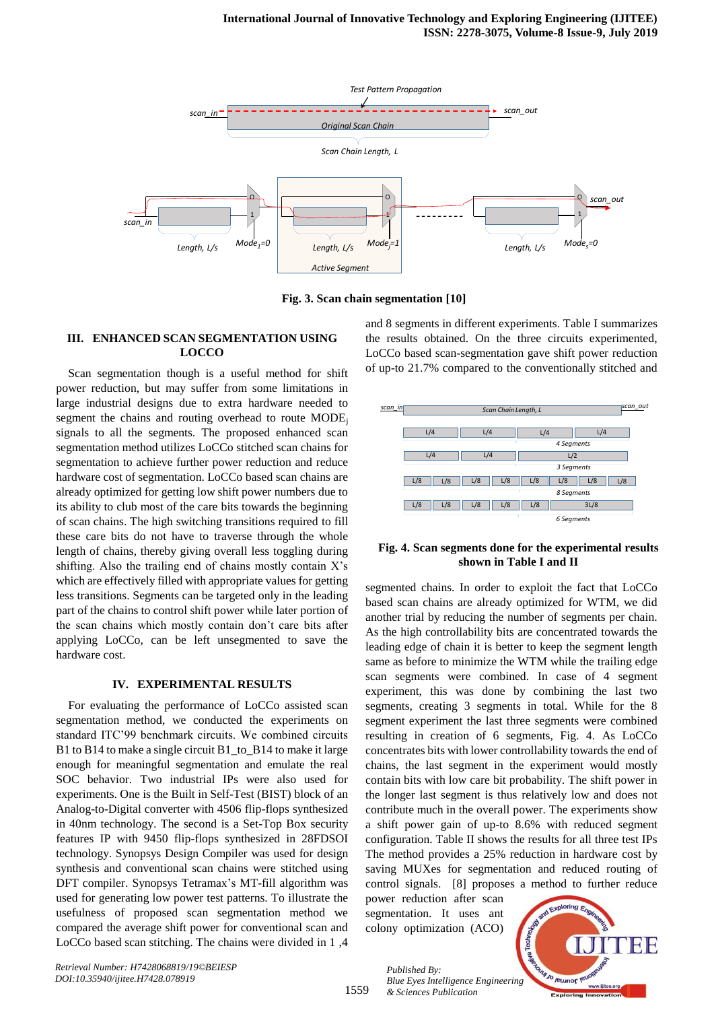

**Fig. 3. Scan chain segmentation [10]**

# **III. ENHANCED SCAN SEGMENTATION USING LOCCO**

Scan segmentation though is a useful method for shift power reduction, but may suffer from some limitations in large industrial designs due to extra hardware needed to segment the chains and routing overhead to route MODE; signals to all the segments. The proposed enhanced scan segmentation method utilizes LoCCo stitched scan chains for segmentation to achieve further power reduction and reduce hardware cost of segmentation. LoCCo based scan chains are already optimized for getting low shift power numbers due to its ability to club most of the care bits towards the beginning of scan chains. The high switching transitions required to fill these care bits do not have to traverse through the whole length of chains, thereby giving overall less toggling during shifting. Also the trailing end of chains mostly contain X's which are effectively filled with appropriate values for getting less transitions. Segments can be targeted only in the leading part of the chains to control shift power while later portion of the scan chains which mostly contain don't care bits after applying LoCCo, can be left unsegmented to save the hardware cost.

#### **IV. EXPERIMENTAL RESULTS**

For evaluating the performance of LoCCo assisted scan segmentation method, we conducted the experiments on standard ITC'99 benchmark circuits. We combined circuits B1 to B14 to make a single circuit B1\_to\_B14 to make it large enough for meaningful segmentation and emulate the real SOC behavior. Two industrial IPs were also used for experiments. One is the Built in Self-Test (BIST) block of an Analog-to-Digital converter with 4506 flip-flops synthesized in 40nm technology. The second is a Set-Top Box security features IP with 9450 flip-flops synthesized in 28FDSOI technology. Synopsys Design Compiler was used for design synthesis and conventional scan chains were stitched using DFT compiler. Synopsys Tetramax's MT-fill algorithm was used for generating low power test patterns. To illustrate the usefulness of proposed scan segmentation method we compared the average shift power for conventional scan and LoCCo based scan stitching. The chains were divided in 1 ,4

and 8 segments in different experiments. Table I summarizes the results obtained. On the three circuits experimented, LoCCo based scan-segmentation gave shift power reduction of up-to 21.7% compared to the conventionally stitched and



#### **Fig. 4. Scan segments done for the experimental results shown in Table I and II**

segmented chains. In order to exploit the fact that LoCCo based scan chains are already optimized for WTM, we did another trial by reducing the number of segments per chain. As the high controllability bits are concentrated towards the leading edge of chain it is better to keep the segment length same as before to minimize the WTM while the trailing edge scan segments were combined. In case of 4 segment experiment, this was done by combining the last two segments, creating 3 segments in total. While for the 8 segment experiment the last three segments were combined resulting in creation of 6 segments, Fig. 4. As LoCCo concentrates bits with lower controllability towards the end of chains, the last segment in the experiment would mostly contain bits with low care bit probability. The shift power in the longer last segment is thus relatively low and does not contribute much in the overall power. The experiments show a shift power gain of up-to 8.6% with reduced segment configuration. Table II shows the results for all three test IPs The method provides a 25% reduction in hardware cost by saving MUXes for segmentation and reduced routing of control signals. [8] proposes a method to further reduce **Example 1 Example 1 Controllation (ACO) Scan Chain Length, L 4 4 Examples 14 Examples 148 L/8 L/8 L/8 L/8 L/8 L/8 L/8 Examples 148 Examples 148 Examples 148 Examples 148 Examples 148** 

power reduction after scan segmentation. It uses ant

*& Sciences Publication* 

*Published By:*



*Retrieval Number: H7428068819/19©BEIESP DOI:10.35940/ijitee.H7428.078919*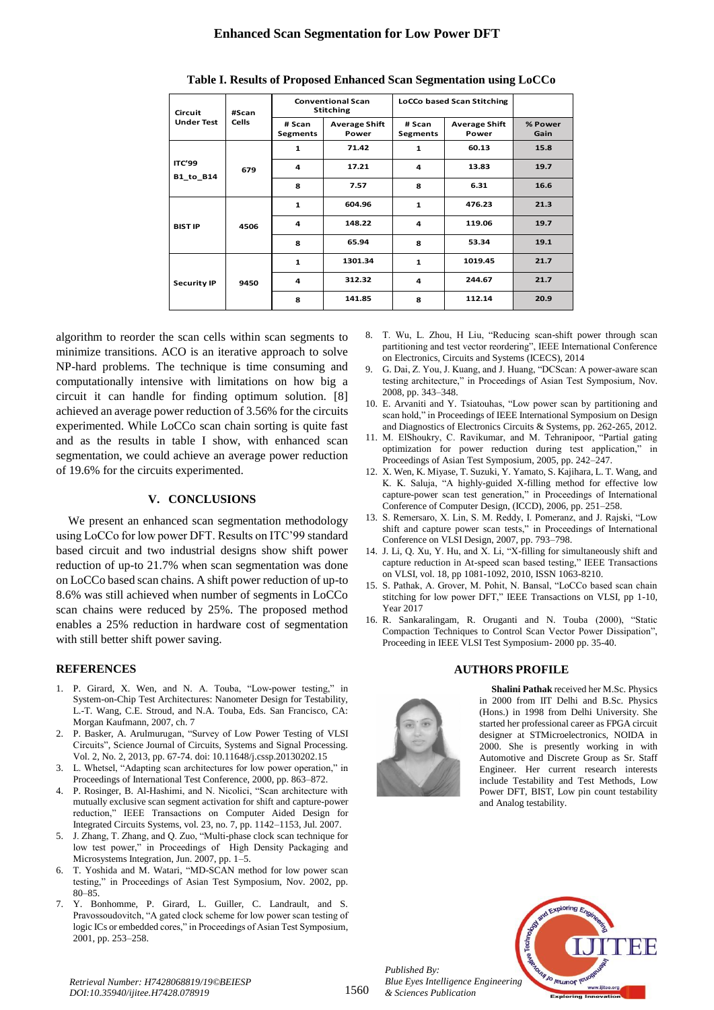# **Enhanced Scan Segmentation for Low Power DFT**

| Circuit<br><b>Under Test</b> | #Scan        |                           | <b>Conventional Scan</b><br><b>Stitching</b> | <b>LoCCo based Scan Stitching</b> |                               |                 |
|------------------------------|--------------|---------------------------|----------------------------------------------|-----------------------------------|-------------------------------|-----------------|
|                              | <b>Cells</b> | # Scan<br><b>Segments</b> | <b>Average Shift</b><br>Power                | # Scan<br>Segments                | <b>Average Shift</b><br>Power | % Power<br>Gain |
| <b>ITC'99</b><br>B1_to_B14   | 679          | 1                         | 71.42                                        | 60.13<br>$\mathbf{1}$             |                               | 15.8            |
|                              |              | 4                         | 17.21                                        | 4                                 | 13.83                         | 19.7            |
|                              |              | 8                         | 7.57                                         | 8                                 | 6.31                          | 16.6            |
| <b>BIST IP</b>               | 4506         | $\mathbf{1}$              | 604.96                                       | $\mathbf{1}$                      | 476.23                        | 21.3            |
|                              |              | 4                         | 148.22                                       | 4                                 | 119.06                        | 19.7            |
|                              |              | 8                         | 65.94                                        | 8                                 | 53.34                         | 19.1            |
| <b>Security IP</b>           |              | $\mathbf{1}$              | 1301.34                                      | $\mathbf{1}$                      | 1019.45                       | 21.7            |
|                              | 9450         | 4                         | 312.32                                       | 4                                 | 244.67                        | 21.7            |
|                              |              | 8                         | 141.85                                       | 8                                 | 112.14                        | 20.9            |

#### **Table I. Results of Proposed Enhanced Scan Segmentation using LoCCo**

algorithm to reorder the scan cells within scan segments to minimize transitions. ACO is an iterative approach to solve NP-hard problems. The technique is time consuming and computationally intensive with limitations on how big a circuit it can handle for finding optimum solution. [8] achieved an average power reduction of 3.56% for the circuits experimented. While LoCCo scan chain sorting is quite fast and as the results in table I show, with enhanced scan segmentation, we could achieve an average power reduction of 19.6% for the circuits experimented.

## **V. CONCLUSIONS**

We present an enhanced scan segmentation methodology using LoCCo for low power DFT. Results on ITC'99 standard based circuit and two industrial designs show shift power reduction of up-to 21.7% when scan segmentation was done on LoCCo based scan chains. A shift power reduction of up-to 8.6% was still achieved when number of segments in LoCCo scan chains were reduced by 25%. The proposed method enables a 25% reduction in hardware cost of segmentation with still better shift power saving.

#### **REFERENCES**

- 1. P. Girard, X. Wen, and N. A. Touba, "Low-power testing," in System-on-Chip Test Architectures: Nanometer Design for Testability, L.-T. Wang, C.E. Stroud, and N.A. Touba, Eds. San Francisco, CA: Morgan Kaufmann, 2007, ch. 7
- 2. P. Basker, A. Arulmurugan, "Survey of Low Power Testing of VLSI Circuits", Science Journal of Circuits, Systems and Signal Processing. Vol. 2, No. 2, 2013, pp. 67-74. doi: 10.11648/j.cssp.20130202.15
- 3. L. Whetsel, "Adapting scan architectures for low power operation," in Proceedings of International Test Conference, 2000, pp. 863–872.
- 4. P. Rosinger, B. Al-Hashimi, and N. Nicolici, "Scan architecture with mutually exclusive scan segment activation for shift and capture-power reduction," IEEE Transactions on Computer Aided Design for Integrated Circuits Systems, vol. 23, no. 7, pp. 1142–1153, Jul. 2007.
- 5. J. Zhang, T. Zhang, and Q. Zuo, "Multi-phase clock scan technique for low test power," in Proceedings of High Density Packaging and Microsystems Integration, Jun. 2007, pp. 1–5.
- 6. T. Yoshida and M. Watari, "MD-SCAN method for low power scan testing," in Proceedings of Asian Test Symposium, Nov. 2002, pp. 80–85.
- 7. Y. Bonhomme, P. Girard, L. Guiller, C. Landrault, and S. Pravossoudovitch, "A gated clock scheme for low power scan testing of logic ICs or embedded cores," in Proceedings of Asian Test Symposium, 2001, pp. 253–258.
- 8. T. Wu, L. Zhou, H Liu, "Reducing scan-shift power through scan partitioning and test vector reordering", IEEE International Conference on Electronics, Circuits and Systems (ICECS), 2014
- 9. G. Dai, Z. You, J. Kuang, and J. Huang, "DCScan: A power-aware scan testing architecture," in Proceedings of Asian Test Symposium, Nov. 2008, pp. 343–348.
- 10. E. Arvaniti and Y. Tsiatouhas, "Low power scan by partitioning and scan hold," in Proceedings of IEEE International Symposium on Design and Diagnostics of Electronics Circuits & Systems, pp. 262-265, 2012.
- 11. M. ElShoukry, C. Ravikumar, and M. Tehranipoor, "Partial gating optimization for power reduction during test application," in Proceedings of Asian Test Symposium, 2005, pp. 242–247.
- 12. X. Wen, K. Miyase, T. Suzuki, Y. Yamato, S. Kajihara, L. T. Wang, and K. K. Saluja, "A highly-guided X-filling method for effective low capture-power scan test generation," in Proceedings of International Conference of Computer Design, (ICCD), 2006, pp. 251–258.
- 13. S. Remersaro, X. Lin, S. M. Reddy, I. Pomeranz, and J. Rajski, "Low shift and capture power scan tests," in Proceedings of International Conference on VLSI Design, 2007, pp. 793–798.
- 14. J. Li, Q. Xu, Y. Hu, and X. Li, "X-filling for simultaneously shift and capture reduction in At-speed scan based testing," IEEE Transactions on VLSI, vol. 18, pp 1081-1092, 2010, ISSN 1063-8210.
- 15. S. Pathak, A. Grover, M. Pohit, N. Bansal, "LoCCo based scan chain stitching for low power DFT," IEEE Transactions on VLSI, pp 1-10, Year 2017
- 16. R. Sankaralingam, R. Oruganti and N. Touba (2000), "Static Compaction Techniques to Control Scan Vector Power Dissipation", Proceeding in IEEE VLSI Test Symposium- 2000 pp. 35-40.

#### **AUTHORS PROFILE**



*Published By:*

*& Sciences Publication* 

**Shalini Pathak** received her M.Sc. Physics in 2000 from IIT Delhi and B.Sc. Physics (Hons.) in 1998 from Delhi University. She started her professional career as FPGA circuit designer at STMicroelectronics, NOIDA in 2000. She is presently working in with Automotive and Discrete Group as Sr. Staff Engineer. Her current research interests include Testability and Test Methods, Low Power DFT, BIST, Low pin count testability and Analog testability.